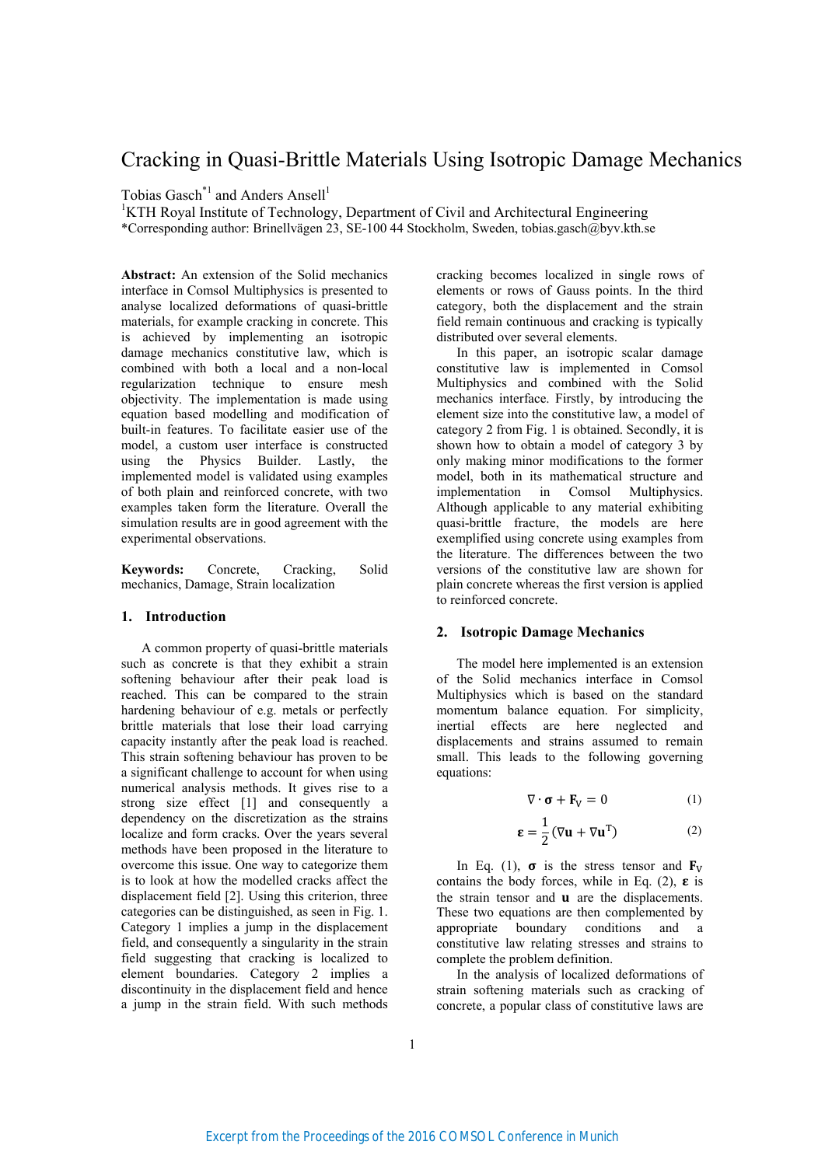# Cracking in Quasi-Brittle Materials Using Isotropic Damage Mechanics

Tobias Gasch<sup>\*1</sup> and Anders Ansell<sup>1</sup>

<sup>1</sup>KTH Royal Institute of Technology, Department of Civil and Architectural Engineering \*Corresponding author: Brinellvägen 23, SE-100 44 Stockholm, Sweden, tobias.gasch@byv.kth.se

**Abstract:** An extension of the Solid mechanics interface in Comsol Multiphysics is presented to analyse localized deformations of quasi-brittle materials, for example cracking in concrete. This is achieved by implementing an isotropic damage mechanics constitutive law, which is combined with both a local and a non-local regularization technique to ensure mesh objectivity. The implementation is made using equation based modelling and modification of built-in features. To facilitate easier use of the model, a custom user interface is constructed using the Physics Builder. Lastly, the implemented model is validated using examples of both plain and reinforced concrete, with two examples taken form the literature. Overall the simulation results are in good agreement with the experimental observations.

**Keywords:** Concrete, Cracking, Solid mechanics, Damage, Strain localization

# **1. Introduction**

A common property of quasi-brittle materials such as concrete is that they exhibit a strain softening behaviour after their peak load is reached. This can be compared to the strain hardening behaviour of e.g. metals or perfectly brittle materials that lose their load carrying capacity instantly after the peak load is reached. This strain softening behaviour has proven to be a significant challenge to account for when using numerical analysis methods. It gives rise to a strong size effect [1] and consequently a dependency on the discretization as the strains localize and form cracks. Over the years several methods have been proposed in the literature to overcome this issue. One way to categorize them is to look at how the modelled cracks affect the displacement field [2]. Using this criterion, three categories can be distinguished, as seen in Fig. 1. Category 1 implies a jump in the displacement field, and consequently a singularity in the strain field suggesting that cracking is localized to element boundaries. Category 2 implies a discontinuity in the displacement field and hence a jump in the strain field. With such methods cracking becomes localized in single rows of elements or rows of Gauss points. In the third category, both the displacement and the strain field remain continuous and cracking is typically distributed over several elements.

In this paper, an isotropic scalar damage constitutive law is implemented in Comsol Multiphysics and combined with the Solid mechanics interface. Firstly, by introducing the element size into the constitutive law, a model of category 2 from Fig. 1 is obtained. Secondly, it is shown how to obtain a model of category 3 by only making minor modifications to the former model, both in its mathematical structure and implementation in Comsol Multiphysics. Although applicable to any material exhibiting quasi-brittle fracture, the models are here exemplified using concrete using examples from the literature. The differences between the two versions of the constitutive law are shown for plain concrete whereas the first version is applied to reinforced concrete.

## **2. Isotropic Damage Mechanics**

The model here implemented is an extension of the Solid mechanics interface in Comsol Multiphysics which is based on the standard momentum balance equation. For simplicity, inertial effects are here neglected and displacements and strains assumed to remain small. This leads to the following governing equations:

$$
\nabla \cdot \boldsymbol{\sigma} + \mathbf{F}_V = 0 \tag{1}
$$

$$
\boldsymbol{\epsilon} = \frac{1}{2} (\nabla \mathbf{u} + \nabla \mathbf{u}^{\mathrm{T}})
$$
 (2)

In Eq. (1),  $\sigma$  is the stress tensor and  $\mathbf{F}_V$ contains the body forces, while in Eq. (2),  $\epsilon$  is the strain tensor and  $\bf{u}$  are the displacements. These two equations are then complemented by appropriate boundary conditions and a constitutive law relating stresses and strains to complete the problem definition.

In the analysis of localized deformations of strain softening materials such as cracking of concrete, a popular class of constitutive laws are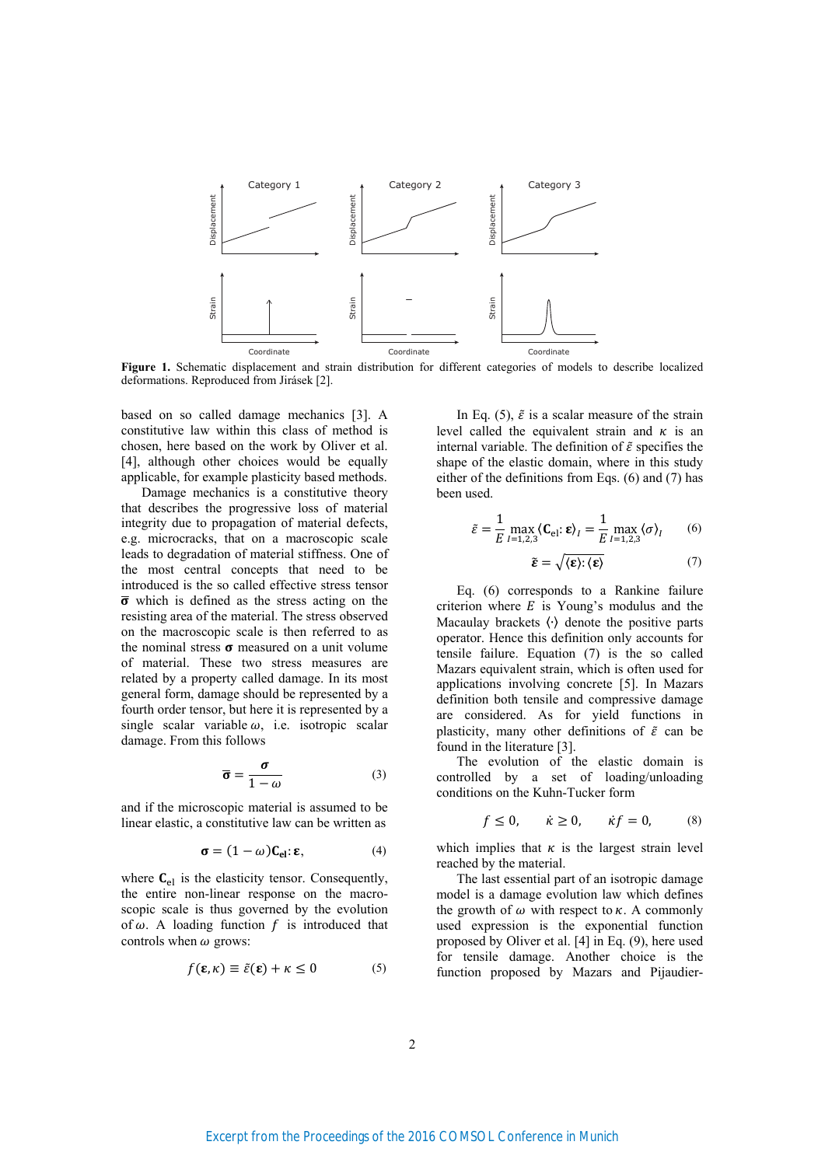

Figure 1. Schematic displacement and strain distribution for different categories of models to describe localized deformations. Reproduced from Jirásek [2].

based on so called damage mechanics [3]. A constitutive law within this class of method is chosen, here based on the work by Oliver et al. [4], although other choices would be equally applicable, for example plasticity based methods.

Damage mechanics is a constitutive theory that describes the progressive loss of material integrity due to propagation of material defects, e.g. microcracks, that on a macroscopic scale leads to degradation of material stiffness. One of the most central concepts that need to be introduced is the so called effective stress tensor  $\overline{\sigma}$  which is defined as the stress acting on the resisting area of the material. The stress observed on the macroscopic scale is then referred to as the nominal stress  $\sigma$  measured on a unit volume of material. These two stress measures are related by a property called damage. In its most general form, damage should be represented by a fourth order tensor, but here it is represented by a single scalar variable  $\omega$ , i.e. isotropic scalar damage. From this follows

$$
\overline{\sigma} = \frac{\sigma}{1 - \omega} \tag{3}
$$

and if the microscopic material is assumed to be linear elastic, a constitutive law can be written as

$$
\sigma = (1 - \omega) \mathbf{C}_{\mathbf{el}} : \varepsilon, \tag{4}
$$

where  $C_{el}$  is the elasticity tensor. Consequently, the entire non-linear response on the macroscopic scale is thus governed by the evolution of  $\omega$ . A loading function f is introduced that controls when  $\omega$  grows:

$$
f(\mathbf{\varepsilon}, \kappa) \equiv \tilde{\varepsilon}(\mathbf{\varepsilon}) + \kappa \le 0 \tag{5}
$$

In Eq. (5),  $\tilde{\varepsilon}$  is a scalar measure of the strain level called the equivalent strain and  $\kappa$  is an internal variable. The definition of  $\tilde{\varepsilon}$  specifies the shape of the elastic domain, where in this study either of the definitions from Eqs. (6) and (7) has been used.

$$
\tilde{\varepsilon} = \frac{1}{E} \max_{I=1,2,3} \langle \mathbf{C}_{\text{el}}; \mathbf{\varepsilon} \rangle_I = \frac{1}{E} \max_{I=1,2,3} \langle \sigma \rangle_I \qquad (6)
$$

$$
\tilde{\boldsymbol{\varepsilon}} = \sqrt{\langle \boldsymbol{\varepsilon} \rangle : \langle \boldsymbol{\varepsilon} \rangle}
$$
 (7)

Eq. (6) corresponds to a Rankine failure criterion where  $E$  is Young's modulus and the Macaulay brackets 〈∙〉 denote the positive parts operator. Hence this definition only accounts for tensile failure. Equation (7) is the so called Mazars equivalent strain, which is often used for applications involving concrete [5]. In Mazars definition both tensile and compressive damage are considered. As for yield functions in plasticity, many other definitions of  $\tilde{\varepsilon}$  can be found in the literature [3].

The evolution of the elastic domain is controlled by a set of loading/unloading conditions on the Kuhn-Tucker form

$$
f \le 0, \qquad \dot{\kappa} \ge 0, \qquad \dot{\kappa}f = 0, \tag{8}
$$

which implies that  $\kappa$  is the largest strain level reached by the material.

The last essential part of an isotropic damage model is a damage evolution law which defines the growth of  $\omega$  with respect to  $\kappa$ . A commonly used expression is the exponential function proposed by Oliver et al. [4] in Eq. (9), here used for tensile damage. Another choice is the function proposed by Mazars and Pijaudier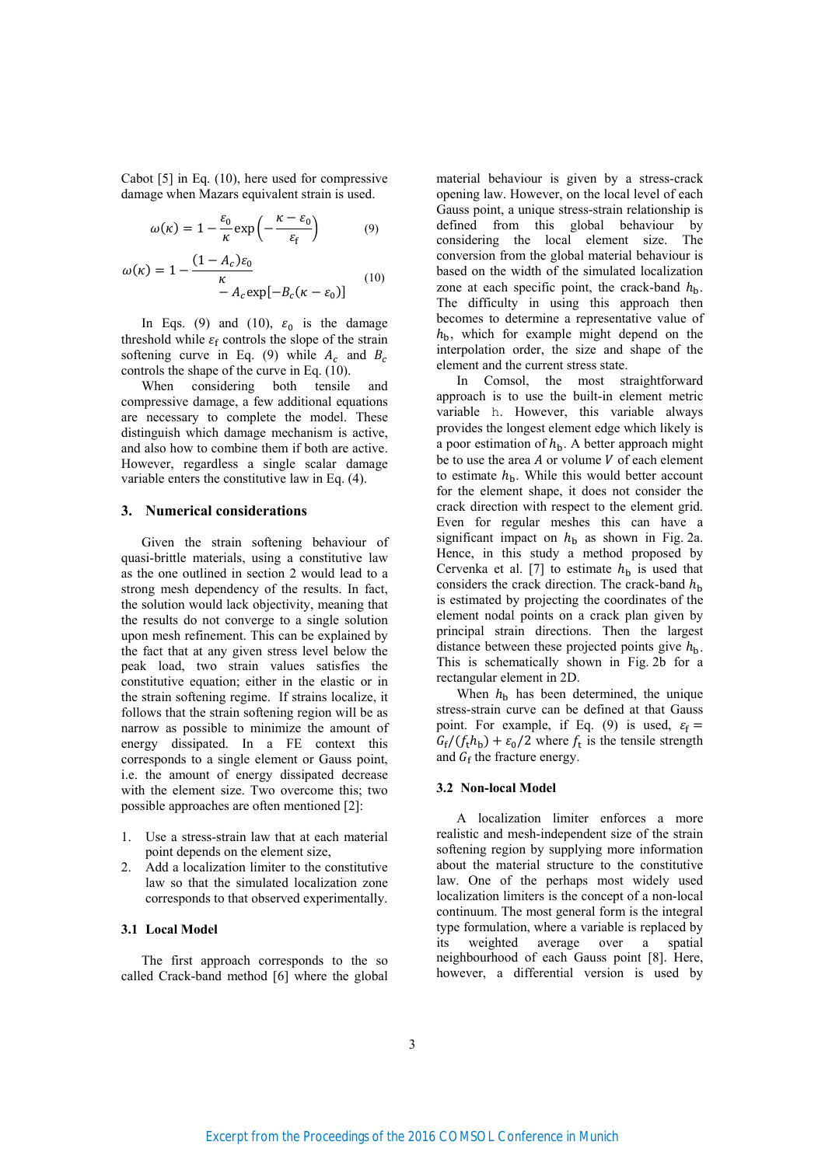Cabot [5] in Eq. (10), here used for compressive damage when Mazars equivalent strain is used.

$$
\omega(\kappa) = 1 - \frac{\varepsilon_0}{\kappa} \exp\left(-\frac{\kappa - \varepsilon_0}{\varepsilon_f}\right) \tag{9}
$$

$$
\omega(\kappa) = 1 - \frac{(1 - A_c)\varepsilon_0}{\kappa} - A_c \exp[-B_c(\kappa - \varepsilon_0)]
$$
\n(10)

In Eqs. (9) and (10),  $\varepsilon_0$  is the damage threshold while  $\varepsilon_f$  controls the slope of the strain softening curve in Eq. (9) while  $A_c$  and  $B_c$ controls the shape of the curve in Eq. (10).

When considering both tensile and compressive damage, a few additional equations are necessary to complete the model. These distinguish which damage mechanism is active, and also how to combine them if both are active. However, regardless a single scalar damage variable enters the constitutive law in Eq. (4).

### **3. Numerical considerations**

Given the strain softening behaviour of quasi-brittle materials, using a constitutive law as the one outlined in section 2 would lead to a strong mesh dependency of the results. In fact, the solution would lack objectivity, meaning that the results do not converge to a single solution upon mesh refinement. This can be explained by the fact that at any given stress level below the peak load, two strain values satisfies the constitutive equation; either in the elastic or in the strain softening regime. If strains localize, it follows that the strain softening region will be as narrow as possible to minimize the amount of energy dissipated. In a FE context this corresponds to a single element or Gauss point, i.e. the amount of energy dissipated decrease with the element size. Two overcome this; two possible approaches are often mentioned [2]:

- 1. Use a stress-strain law that at each material point depends on the element size,
- 2. Add a localization limiter to the constitutive law so that the simulated localization zone corresponds to that observed experimentally.

# **3.1 Local Model**

The first approach corresponds to the so called Crack-band method [6] where the global material behaviour is given by a stress-crack opening law. However, on the local level of each Gauss point, a unique stress-strain relationship is defined from this global behaviour by considering the local element size. The conversion from the global material behaviour is based on the width of the simulated localization zone at each specific point, the crack-band  $h<sub>b</sub>$ . The difficulty in using this approach then becomes to determine a representative value of  $h<sub>b</sub>$ , which for example might depend on the interpolation order, the size and shape of the element and the current stress state.

In Comsol, the most straightforward approach is to use the built-in element metric variable h. However, this variable always provides the longest element edge which likely is a poor estimation of  $h<sub>b</sub>$ . A better approach might be to use the area  $A$  or volume  $V$  of each element to estimate  $h_{\rm b}$ . While this would better account for the element shape, it does not consider the crack direction with respect to the element grid. Even for regular meshes this can have a significant impact on  $h<sub>b</sub>$  as shown in Fig. 2a. Hence, in this study a method proposed by Cervenka et al. [7] to estimate  $h<sub>b</sub>$  is used that considers the crack direction. The crack-band  $h<sub>b</sub>$ is estimated by projecting the coordinates of the element nodal points on a crack plan given by principal strain directions. Then the largest distance between these projected points give  $h<sub>b</sub>$ . This is schematically shown in Fig. 2b for a rectangular element in 2D.

When  $h<sub>b</sub>$  has been determined, the unique stress-strain curve can be defined at that Gauss point. For example, if Eq. (9) is used,  $\varepsilon_f =$  $G_f/(f_t h_b) + \varepsilon_0/2$  where  $f_t$  is the tensile strength and  $G_f$  the fracture energy.

#### **3.2 Non-local Model**

A localization limiter enforces a more realistic and mesh-independent size of the strain softening region by supplying more information about the material structure to the constitutive law. One of the perhaps most widely used localization limiters is the concept of a non-local continuum. The most general form is the integral type formulation, where a variable is replaced by its weighted average over a spatial neighbourhood of each Gauss point [8]. Here, however, a differential version is used by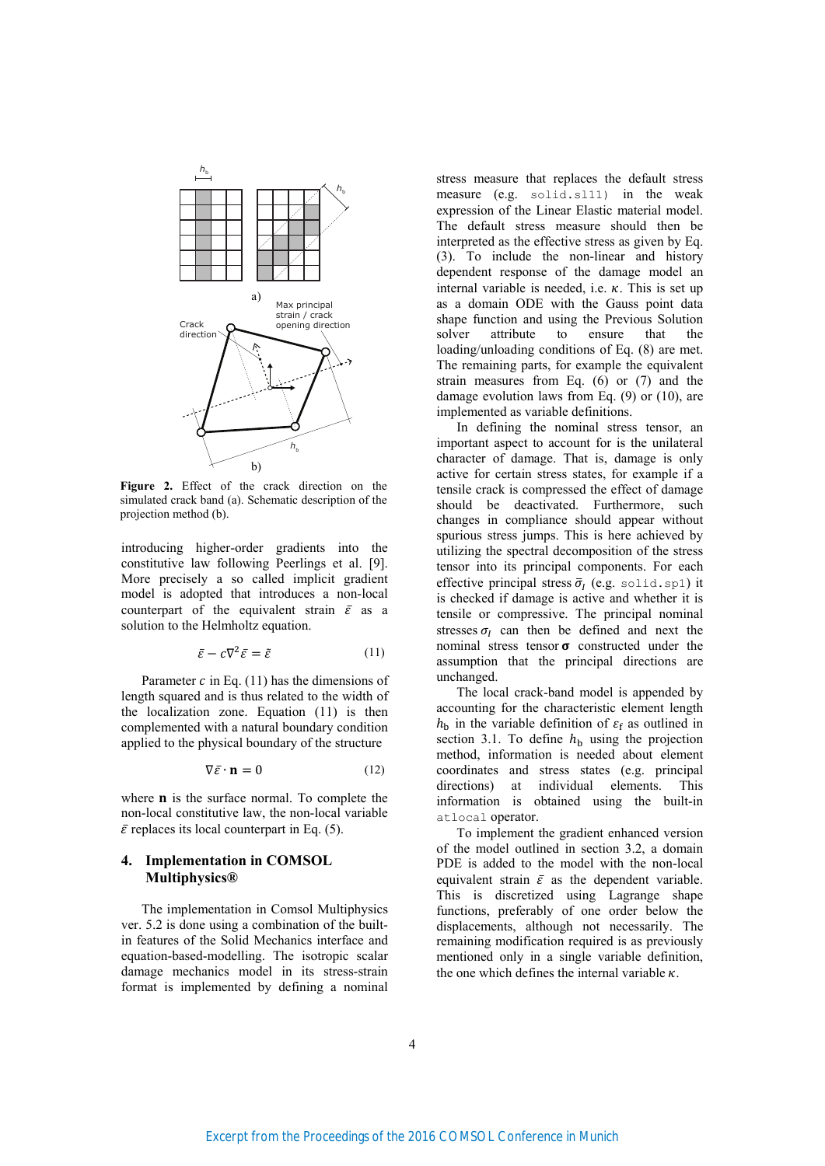

**Figure 2.** Effect of the crack direction on the simulated crack band (a). Schematic description of the projection method (b).

introducing higher-order gradients into the constitutive law following Peerlings et al. [9]. More precisely a so called implicit gradient model is adopted that introduces a non-local counterpart of the equivalent strain  $\bar{\varepsilon}$  as a solution to the Helmholtz equation.

$$
\bar{\varepsilon} - c \nabla^2 \bar{\varepsilon} = \tilde{\varepsilon} \tag{11}
$$

Parameter  $c$  in Eq. (11) has the dimensions of length squared and is thus related to the width of the localization zone. Equation (11) is then complemented with a natural boundary condition applied to the physical boundary of the structure

$$
\nabla \bar{\varepsilon} \cdot \mathbf{n} = 0 \tag{12}
$$

where  **is the surface normal. To complete the** non-local constitutive law, the non-local variable  $\bar{\varepsilon}$  replaces its local counterpart in Eq. (5).

# **4. Implementation in COMSOL Multiphysics®**

The implementation in Comsol Multiphysics ver. 5.2 is done using a combination of the builtin features of the Solid Mechanics interface and equation-based-modelling. The isotropic scalar damage mechanics model in its stress-strain format is implemented by defining a nominal

stress measure that replaces the default stress measure (e.g. solid.sl11) in the weak expression of the Linear Elastic material model. The default stress measure should then be interpreted as the effective stress as given by Eq. (3). To include the non-linear and history dependent response of the damage model an internal variable is needed, i.e.  $\kappa$ . This is set up as a domain ODE with the Gauss point data shape function and using the Previous Solution solver attribute to ensure that the loading/unloading conditions of Eq. (8) are met. The remaining parts, for example the equivalent strain measures from Eq. (6) or (7) and the damage evolution laws from Eq. (9) or (10), are implemented as variable definitions.

In defining the nominal stress tensor, an important aspect to account for is the unilateral character of damage. That is, damage is only active for certain stress states, for example if a tensile crack is compressed the effect of damage should be deactivated. Furthermore, such changes in compliance should appear without spurious stress jumps. This is here achieved by utilizing the spectral decomposition of the stress tensor into its principal components. For each effective principal stress  $\bar{\sigma}_{1}$  (e.g. solid.sp1) it is checked if damage is active and whether it is tensile or compressive. The principal nominal stresses  $\sigma_l$  can then be defined and next the nominal stress tensor  $\sigma$  constructed under the assumption that the principal directions are unchanged.

The local crack-band model is appended by accounting for the characteristic element length  $h<sub>b</sub>$  in the variable definition of  $\varepsilon_f$  as outlined in section 3.1. To define  $h<sub>b</sub>$  using the projection method, information is needed about element coordinates and stress states (e.g. principal directions) at individual elements. This information is obtained using the built-in atlocal operator.

To implement the gradient enhanced version of the model outlined in section 3.2, a domain PDE is added to the model with the non-local equivalent strain  $\bar{\varepsilon}$  as the dependent variable. This is discretized using Lagrange shape functions, preferably of one order below the displacements, although not necessarily. The remaining modification required is as previously mentioned only in a single variable definition, the one which defines the internal variable  $\kappa$ .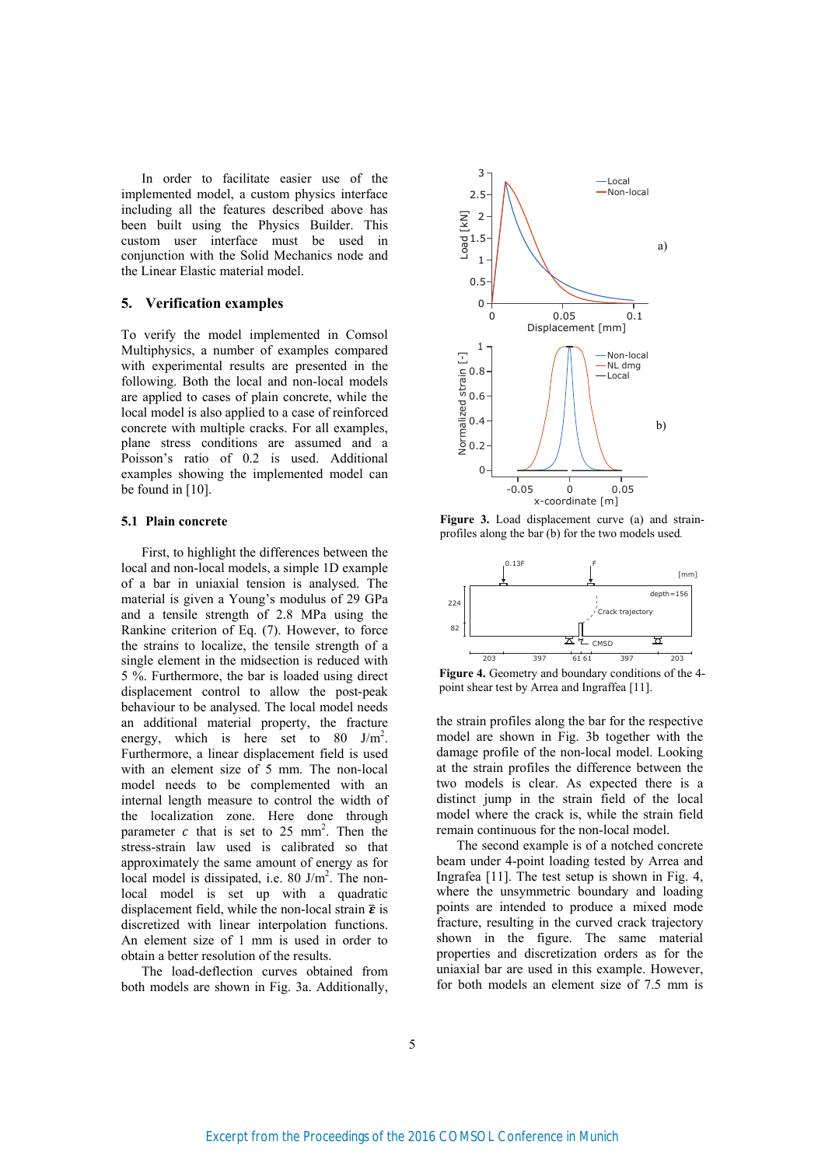In order to facilitate easier use of the implemented model, a custom physics interface including all the features described above has been built using the Physics Builder. This custom user interface must be used in conjunction with the Solid Mechanics node and the Linear Elastic material model.

#### **5. Verification examples**

To verify the model implemented in Comsol Multiphysics, a number of examples compared with experimental results are presented in the following. Both the local and non-local models are applied to cases of plain concrete, while the local model is also applied to a case of reinforced concrete with multiple cracks. For all examples, plane stress conditions are assumed and a Poisson's ratio of 0.2 is used. Additional examples showing the implemented model can be found in [10].

# **5.1 Plain concrete**

First, to highlight the differences between the local and non-local models, a simple 1D example of a bar in uniaxial tension is analysed. The material is given a Young's modulus of 29 GPa and a tensile strength of 2.8 MPa using the Rankine criterion of Eq. (7). However, to force the strains to localize, the tensile strength of a single element in the midsection is reduced with 5 %. Furthermore, the bar is loaded using direct displacement control to allow the post-peak behaviour to be analysed. The local model needs an additional material property, the fracture energy, which is here set to  $80 \text{ J/m}^2$ . Furthermore, a linear displacement field is used with an element size of 5 mm. The non-local model needs to be complemented with an internal length measure to control the width of the localization zone. Here done through parameter  $c$  that is set to 25 mm<sup>2</sup>. Then the stress-strain law used is calibrated so that approximately the same amount of energy as for local model is dissipated, i.e. 80 J/m<sup>2</sup>. The nonlocal model is set up with a quadratic displacement field, while the non-local strain  $\bar{\epsilon}$  is discretized with linear interpolation functions. An element size of 1 mm is used in order to obtain a better resolution of the results.

The load-deflection curves obtained from both models are shown in Fig. 3a. Additionally,



**Figure 3.** Load displacement curve (a) and strainprofiles along the bar (b) for the two models used*.*



Figure 4. Geometry and boundary conditions of the 4point shear test by Arrea and Ingraffea [11].

the strain profiles along the bar for the respective model are shown in Fig. 3b together with the damage profile of the non-local model. Looking at the strain profiles the difference between the two models is clear. As expected there is a distinct jump in the strain field of the local model where the crack is, while the strain field remain continuous for the non-local model.

The second example is of a notched concrete beam under 4-point loading tested by Arrea and Ingrafea [11]. The test setup is shown in Fig. 4, where the unsymmetric boundary and loading points are intended to produce a mixed mode fracture, resulting in the curved crack trajectory shown in the figure. The same material properties and discretization orders as for the uniaxial bar are used in this example. However, for both models an element size of 7.5 mm is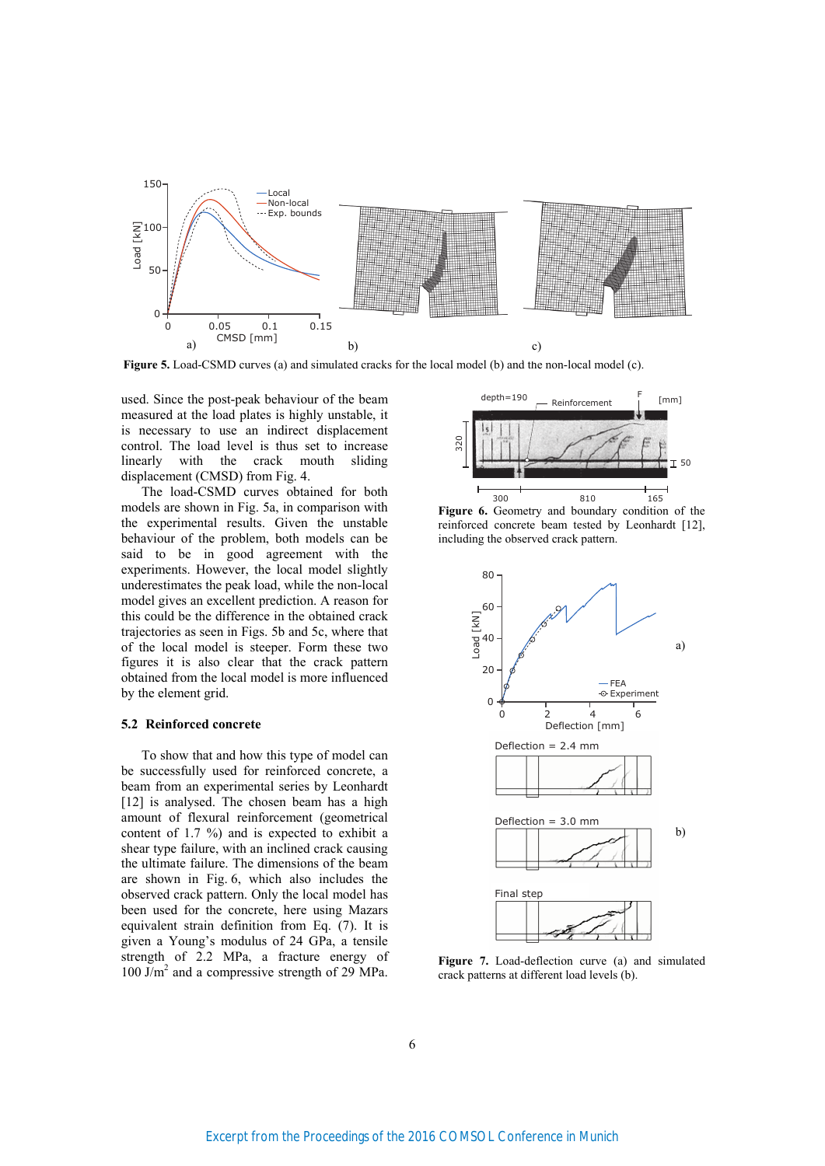

**Figure 5.** Load-CSMD curves (a) and simulated cracks for the local model (b) and the non-local model (c).

used. Since the post-peak behaviour of the beam measured at the load plates is highly unstable, it is necessary to use an indirect displacement control. The load level is thus set to increase linearly with the crack mouth sliding displacement (CMSD) from Fig. 4.

The load-CSMD curves obtained for both models are shown in Fig. 5a, in comparison with the experimental results. Given the unstable behaviour of the problem, both models can be said to be in good agreement with the experiments. However, the local model slightly underestimates the peak load, while the non-local model gives an excellent prediction. A reason for this could be the difference in the obtained crack trajectories as seen in Figs. 5b and 5c, where that of the local model is steeper. Form these two figures it is also clear that the crack pattern obtained from the local model is more influenced by the element grid.

#### **5.2 Reinforced concrete**

To show that and how this type of model can be successfully used for reinforced concrete, a beam from an experimental series by Leonhardt [12] is analysed. The chosen beam has a high amount of flexural reinforcement (geometrical content of 1.7 %) and is expected to exhibit a shear type failure, with an inclined crack causing the ultimate failure. The dimensions of the beam are shown in Fig. 6, which also includes the observed crack pattern. Only the local model has been used for the concrete, here using Mazars equivalent strain definition from Eq. (7). It is given a Young's modulus of 24 GPa, a tensile strength of 2.2 MPa, a fracture energy of 100 J/m<sup>2</sup> and a compressive strength of 29 MPa.



Figure 6. Geometry and boundary condition of the reinforced concrete beam tested by Leonhardt [12], including the observed crack pattern.



**Figure 7.** Load-deflection curve (a) and simulated crack patterns at different load levels (b).